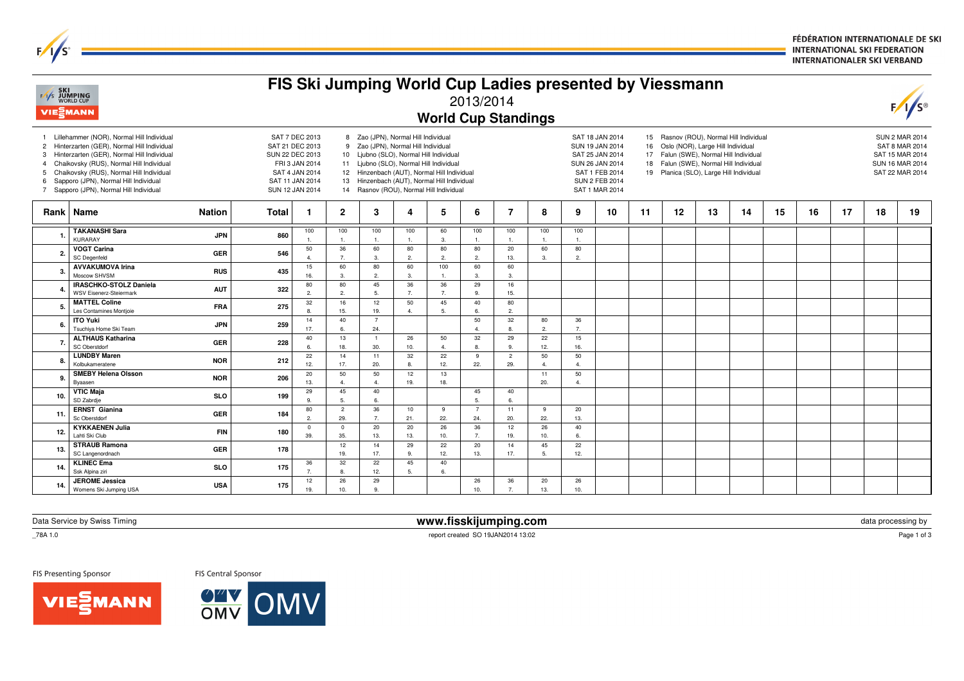FÉDÉRATION INTERNATIONALE DE SKI **INTERNATIONAL SKI FEDERATION INTERNATIONALER SKI VERBAND** 

| <b>EXT</b> SKI<br>EXT JUMPING<br>WORLD CUP<br><b>VIEMANN</b> |                                                                                                                                                                                                                                                                                                                 |              |                                                                                                                                |                       |                                                                                                                                                                                                                                                                                                           |                       | <b>World Cup Standings</b> | 2013/2014             |                       |                         |                       | FIS Ski Jumping World Cup Ladies presented by Viessmann                                                                               |          |                                                                              |    |                                                                                                                          |    |    |    |    | $F/I/S^{\circ}$                                                                                         |
|--------------------------------------------------------------|-----------------------------------------------------------------------------------------------------------------------------------------------------------------------------------------------------------------------------------------------------------------------------------------------------------------|--------------|--------------------------------------------------------------------------------------------------------------------------------|-----------------------|-----------------------------------------------------------------------------------------------------------------------------------------------------------------------------------------------------------------------------------------------------------------------------------------------------------|-----------------------|----------------------------|-----------------------|-----------------------|-------------------------|-----------------------|---------------------------------------------------------------------------------------------------------------------------------------|----------|------------------------------------------------------------------------------|----|--------------------------------------------------------------------------------------------------------------------------|----|----|----|----|---------------------------------------------------------------------------------------------------------|
| $\mathbf{2}$<br>3<br>5<br>6                                  | Lillehammer (NOR), Normal Hill Individual<br>Hinterzarten (GER), Normal Hill Individual<br>Hinterzarten (GER), Normal Hill Individual<br>Chaikovsky (RUS), Normal Hill Individual<br>Chaikovsky (RUS), Normal Hill Individual<br>Sapporo (JPN), Normal Hill Individual<br>Sapporo (JPN), Normal Hill Individual |              | SAT 7 DEC 2013<br>SAT 21 DEC 2013<br>SUN 22 DEC 2013<br>FRI 3 JAN 2014<br>SAT 4 JAN 2014<br>SAT 11 JAN 2014<br>SUN 12 JAN 2014 |                       | 8 Zao (JPN), Normal Hill Individual<br>9 Zao (JPN), Normal Hill Individual<br>10 Ljubno (SLO), Normal Hill Individual<br>11 Ljubno (SLO), Normal Hill Individual<br>12 Hinzenbach (AUT), Normal Hill Individual<br>13 Hinzenbach (AUT), Normal Hill Individual<br>14 Rasnov (ROU), Normal Hill Individual |                       |                            |                       |                       |                         |                       | SAT 18 JAN 2014<br>SUN 19 JAN 2014<br>SAT 25 JAN 2014<br>SUN 26 JAN 2014<br>SAT 1 FEB 2014<br><b>SUN 2 FEB 2014</b><br>SAT 1 MAR 2014 | 16<br>17 | Oslo (NOR), Large Hill Individual<br>19 Planica (SLO), Large Hill Individual |    | 15 Rasnov (ROU), Normal Hill Individual<br>Falun (SWE), Normal Hill Individual<br>18 Falun (SWE), Normal Hill Individual |    |    |    |    | <b>SUN 2 MAR 2014</b><br><b>SAT 8 MAR 2014</b><br>SAT 15 MAR 2014<br>SUN 16 MAR 2014<br>SAT 22 MAR 2014 |
|                                                              | Rank   Name<br><b>Nation</b>                                                                                                                                                                                                                                                                                    | <b>Total</b> | -1                                                                                                                             | $\mathbf{2}$          | 3                                                                                                                                                                                                                                                                                                         | 4                     | 5                          | 6                     | $\overline{7}$        | 8                       | 9                     | 10                                                                                                                                    | 11       | 12                                                                           | 13 | 14                                                                                                                       | 15 | 16 | 17 | 18 | 19                                                                                                      |
| -1                                                           | <b>TAKANASHI Sara</b><br><b>JPN</b><br>KURARAY                                                                                                                                                                                                                                                                  | 860          | 100                                                                                                                            | 100<br>-1.            | 100<br>$\overline{1}$                                                                                                                                                                                                                                                                                     | 100<br>$\overline{1}$ | 60<br>3.                   | 100<br>1.             | 100                   | 100<br>$\overline{1}$ . | 100<br>$\overline{1}$ |                                                                                                                                       |          |                                                                              |    |                                                                                                                          |    |    |    |    |                                                                                                         |
| $\overline{2}$                                               | <b>VOGT Carina</b><br><b>GER</b><br>SC Degenfeld                                                                                                                                                                                                                                                                | 546          | 50<br>$\overline{4}$                                                                                                           | 36<br>7.              | 60<br>$\mathbf{3}$                                                                                                                                                                                                                                                                                        | 80<br>$\overline{2}$  | 80<br>2.                   | 80<br>2.              | 20<br>13.             | 60<br>3.                | 80<br>2.              |                                                                                                                                       |          |                                                                              |    |                                                                                                                          |    |    |    |    |                                                                                                         |
| 3                                                            | <b>AVVAKUMOVA Irina</b><br><b>RUS</b><br>Moscow SHVSM                                                                                                                                                                                                                                                           | 435          | 15<br>16.                                                                                                                      | 60<br>3.              | 80<br>$\overline{2}$                                                                                                                                                                                                                                                                                      | 60<br>3.              | 100<br>1.                  | 60<br>3.              | 60<br>3.              |                         |                       |                                                                                                                                       |          |                                                                              |    |                                                                                                                          |    |    |    |    |                                                                                                         |
| $\overline{4}$                                               | IRASCHKO-STOLZ Daniela<br><b>AUT</b><br><b>WSV Eisenerz-Steiermark</b>                                                                                                                                                                                                                                          | 322          | 80<br>2.                                                                                                                       | 80<br>2.              | 45<br>5.                                                                                                                                                                                                                                                                                                  | 36<br>$\overline{7}$  | 36<br>7.                   | 29<br>9.              | 16<br>15.             |                         |                       |                                                                                                                                       |          |                                                                              |    |                                                                                                                          |    |    |    |    |                                                                                                         |
| 5                                                            | <b>MATTEL Coline</b><br><b>FRA</b><br>Les Contamines Montjoie                                                                                                                                                                                                                                                   | 275          | 32<br>$\mathbf{R}$                                                                                                             | 16<br>15.             | 12<br>19.                                                                                                                                                                                                                                                                                                 | 50<br>$\overline{4}$  | 45<br>5.                   | 40<br>6.              | 80<br>2.              |                         |                       |                                                                                                                                       |          |                                                                              |    |                                                                                                                          |    |    |    |    |                                                                                                         |
| 6                                                            | <b>ITO Yuki</b><br><b>JPN</b><br>Tsuchiya Home Ski Team                                                                                                                                                                                                                                                         | 259          | 14<br>17.                                                                                                                      | 40<br>6.              | $\overline{7}$<br>24.                                                                                                                                                                                                                                                                                     |                       |                            | 50<br>4.              | 32<br>8.              | 80<br>2.                | 36<br>7.              |                                                                                                                                       |          |                                                                              |    |                                                                                                                          |    |    |    |    |                                                                                                         |
| -7                                                           | <b>ALTHAUS Katharina</b><br><b>GER</b><br>SC Oberstdorf                                                                                                                                                                                                                                                         | 228          | 40<br>6.                                                                                                                       | 13<br>18.             | $\overline{1}$<br>30.                                                                                                                                                                                                                                                                                     | 26<br>10.             | 50<br>$\overline{a}$       | 32<br>8.              | 29<br>9.              | 22<br>12.               | 15<br>16.             |                                                                                                                                       |          |                                                                              |    |                                                                                                                          |    |    |    |    |                                                                                                         |
| 8                                                            | <b>LUNDBY Maren</b><br><b>NOR</b><br>Kolbukameratene                                                                                                                                                                                                                                                            | 212          | 22<br>12.                                                                                                                      | 14<br>17.             | 11<br>20.                                                                                                                                                                                                                                                                                                 | 32<br>8               | 22<br>12.                  | 9<br>22.              | $\overline{2}$<br>29. | 50<br>$\overline{4}$    | 50<br>$\overline{4}$  |                                                                                                                                       |          |                                                                              |    |                                                                                                                          |    |    |    |    |                                                                                                         |
| 9                                                            | <b>SMEBY Helena Olsson</b><br><b>NOR</b><br>Byaasen                                                                                                                                                                                                                                                             | 206          | 20<br>13.                                                                                                                      | 50<br>$\overline{4}$  | 50<br>$\overline{4}$                                                                                                                                                                                                                                                                                      | 12<br>19.             | 13<br>18.                  |                       |                       | 11<br>20.               | 50                    |                                                                                                                                       |          |                                                                              |    |                                                                                                                          |    |    |    |    |                                                                                                         |
| 10                                                           | <b>VTIC Maia</b><br><b>SLO</b><br>SD Zabrdje                                                                                                                                                                                                                                                                    | 199          | 29<br>$\mathbf{q}$                                                                                                             | 45<br>5.              | 40<br>6.                                                                                                                                                                                                                                                                                                  |                       |                            | 45<br>5.              | 40<br>$\mathbf{r}$    |                         |                       |                                                                                                                                       |          |                                                                              |    |                                                                                                                          |    |    |    |    |                                                                                                         |
| 11.                                                          | <b>ERNST Gianina</b><br><b>GER</b><br>Sc Oberstdorf                                                                                                                                                                                                                                                             | 184          | 80<br>2.                                                                                                                       | $\overline{2}$<br>29. | 36<br>7.                                                                                                                                                                                                                                                                                                  | 10<br>21.             | 9<br>22.                   | $\overline{7}$<br>24. | 11<br>20.             | 9<br>22.                | 20<br>13.             |                                                                                                                                       |          |                                                                              |    |                                                                                                                          |    |    |    |    |                                                                                                         |
| 12.                                                          | <b>KYKKAENEN Julia</b><br><b>FIN</b><br>Lahti Ski Club                                                                                                                                                                                                                                                          | 180          | $\mathbf 0$<br>39.                                                                                                             | $\mathbf{0}$<br>35.   | 20<br>13.                                                                                                                                                                                                                                                                                                 | 20<br>13.             | 26<br>10.                  | 36<br>7.              | 12<br>19.             | 26<br>10.               | 40<br>6.              |                                                                                                                                       |          |                                                                              |    |                                                                                                                          |    |    |    |    |                                                                                                         |
| 13                                                           | <b>STRAUB Ramona</b><br>GER<br>SC Langenordnach                                                                                                                                                                                                                                                                 | 178          |                                                                                                                                | 12<br>19.             | 14<br>17.                                                                                                                                                                                                                                                                                                 | 29<br>9.              | 22<br>12.                  | 20<br>13.             | 14<br>17.             | 45<br>5.                | 22<br>12.             |                                                                                                                                       |          |                                                                              |    |                                                                                                                          |    |    |    |    |                                                                                                         |
| 14                                                           | <b>KLINEC Ema</b><br><b>SLO</b><br>Ssk Alpina ziri                                                                                                                                                                                                                                                              | 175          | 36<br>7.                                                                                                                       | 32<br>8.              | 22<br>12.                                                                                                                                                                                                                                                                                                 | 45<br>5.              | 40<br>6.                   |                       |                       |                         |                       |                                                                                                                                       |          |                                                                              |    |                                                                                                                          |    |    |    |    |                                                                                                         |
| 14                                                           | <b>JEROME</b> Jessica<br><b>USA</b><br>Womens Ski Jumping USA                                                                                                                                                                                                                                                   | 175          | 12<br>19                                                                                                                       | 26<br>10.             | 29<br>9                                                                                                                                                                                                                                                                                                   |                       |                            | 26<br>10.             | 36                    | 20<br>13.               | 26<br>10.             |                                                                                                                                       |          |                                                                              |    |                                                                                                                          |    |    |    |    |                                                                                                         |

Data Service by Swiss Timing

\_78A 1.0

 $F/1/s^2$ 

FIS Presenting Sponsor

FIS Central Sponsor



 **www.fisskijumping.com** $\mathsf{m}$  data processing by data processing by data  $\mathsf{p}_\mathsf{ce}$ report created SO 19JAN2014 13:02

Page 1 of 3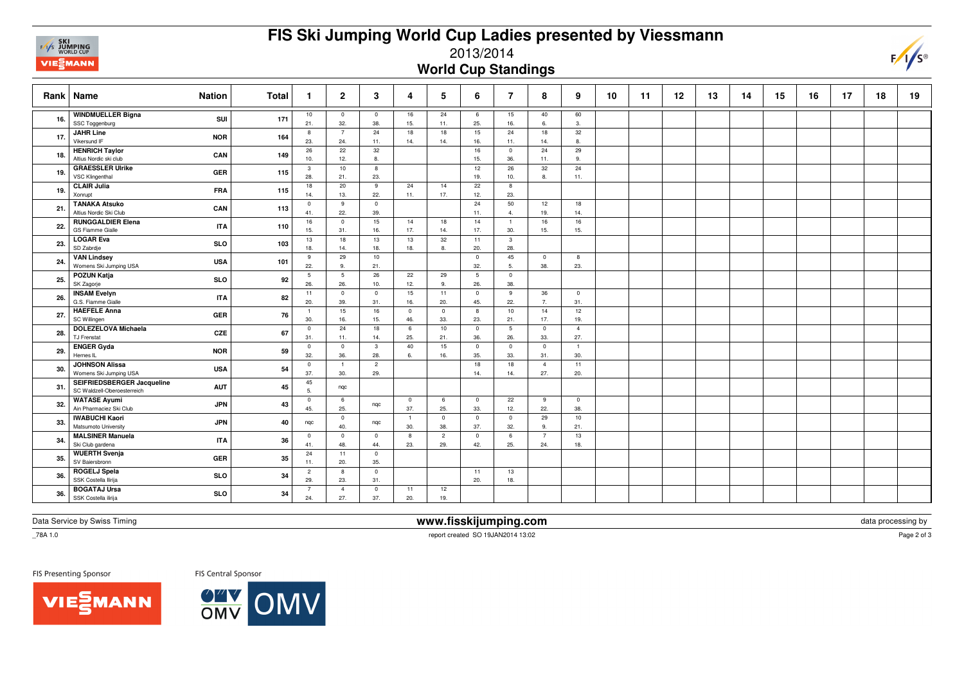

## **FIS Ski Jumping World Cup Ladies presented by Viessmann**

2013/2014

**World Cup Standings**

|     | Rank   Name<br><b>Nation</b>                                            | Total | -1                     | $\mathbf{2}$                   | 3                     | 4                     | 5                     | 6                      | 7                     | 8                     | 9                     | 10 | 11 | 12 | 13 | 14 | 15 | 16 | 17 | 18 | 19 |
|-----|-------------------------------------------------------------------------|-------|------------------------|--------------------------------|-----------------------|-----------------------|-----------------------|------------------------|-----------------------|-----------------------|-----------------------|----|----|----|----|----|----|----|----|----|----|
| 16. | <b>WINDMUELLER Bigna</b><br>SUI<br>SSC Toggenburg                       | 171   | 10<br>21.              | $\overline{0}$<br>32.          | $\mathbf 0$<br>38.    | 16<br>15.             | 24<br>11.             | 6<br>25.               | 15<br>16.             | 40<br>6.              | 60<br>3.              |    |    |    |    |    |    |    |    |    |    |
| 17. | <b>JAHR Line</b><br><b>NOR</b><br>Vikersund IF                          | 164   | 8<br>23.               | 7<br>24.                       | 24<br>11.             | 18<br>14.             | 18<br>14.             | 15<br>16.              | 24<br>11.             | 18<br>14.             | 32<br>8.              |    |    |    |    |    |    |    |    |    |    |
| 18. | <b>HENRICH Taylor</b><br>CAN<br>Altius Nordic ski club                  | 149   | 26<br>10.              | 22<br>12.                      | 32<br>8.              |                       |                       | 16<br>15.              | $\mathbf 0$<br>36.    | 24<br>11.             | 29<br>9.              |    |    |    |    |    |    |    |    |    |    |
| 19. | <b>GRAESSLER Ulrike</b><br><b>GER</b><br>VSC Klingenthal                | 115   | $\mathbf{3}$<br>28.    | 10<br>21.                      | 8<br>23.              |                       |                       | 12<br>19.              | 26<br>10.             | 32<br>8.              | 24<br>11.             |    |    |    |    |    |    |    |    |    |    |
| 19. | <b>CLAIR Julia</b><br><b>FRA</b><br>Xonrupt                             | 115   | 18<br>14.              | 20<br>13.                      | 9<br>22.              | 24<br>11.             | 14<br>17.             | 22<br>12.              | 8<br>23.              |                       |                       |    |    |    |    |    |    |    |    |    |    |
| 21. | <b>TANAKA Atsuko</b><br>CAN<br>Altius Nordic Ski Club                   | 113   | $\mathbf 0$<br>41.     | 9<br>22.                       | $\mathbf 0$<br>39.    |                       |                       | 24<br>11.              | 50<br>$\overline{4}$  | 12<br>19.             | 18<br>14.             |    |    |    |    |    |    |    |    |    |    |
| 22. | <b>RUNGGALDIER Elena</b><br><b>ITA</b><br><b>GS Fiamme Gialle</b>       | 110   | 16<br>15.              | $\overline{\mathbf{0}}$<br>31. | 15<br>16.             | 14<br>17.             | 18<br>14.             | 14<br>17.              | $\overline{1}$<br>30. | 16<br>15.             | 16<br>15.             |    |    |    |    |    |    |    |    |    |    |
| 23. | <b>LOGAR Eva</b><br><b>SLO</b><br>SD Zabrdje                            | 103   | 13<br>18.              | 18<br>14.                      | 13<br>18.             | 13<br>18.             | 32<br>8.              | 11<br>20.              | 3<br>28.              |                       |                       |    |    |    |    |    |    |    |    |    |    |
| 24  | <b>VAN Lindsey</b><br><b>USA</b><br>Womens Ski Jumping USA              | 101   | 9<br>22.               | 29<br>9.                       | 10<br>21.             |                       |                       | $^{\circ}$<br>32.      | 45<br>5.              | $\overline{0}$<br>38. | 8<br>23.              |    |    |    |    |    |    |    |    |    |    |
| 25. | <b>POZUN Katja</b><br><b>SLO</b><br>SK Zagorje                          | 92    | $5\overline{5}$<br>26. | 5<br>26.                       | 26<br>10.             | 22<br>12.             | 29<br>9.              | $5\phantom{.0}$<br>26. | $\overline{0}$<br>38. |                       |                       |    |    |    |    |    |    |    |    |    |    |
| 26. | <b>INSAM Evelyn</b><br><b>ITA</b><br>G.S. Fiamme Gialle                 | 82    | 11<br>20.              | $\overline{\mathbf{0}}$<br>39. | $\mathbf 0$<br>31.    | 15<br>16.             | 11<br>20.             | $\mathbf 0$<br>45.     | 9<br>22.              | 36<br>7.              | $\overline{0}$<br>31. |    |    |    |    |    |    |    |    |    |    |
| 27. | <b>HAEFELE Anna</b><br><b>GER</b><br>SC Willingen                       | 76    | $\mathbf{1}$<br>30.    | 15<br>16.                      | 16<br>15.             | $\mathbf{0}$<br>46.   | $\mathbf{0}$<br>33.   | 8<br>23.               | 10<br>21.             | 14<br>17.             | 12<br>19.             |    |    |    |    |    |    |    |    |    |    |
| 28. | <b>DOLEZELOVA Michaela</b><br>CZE<br>TJ Frenstat                        | 67    | $\mathbf 0$<br>31.     | 24<br>11.                      | 18<br>14.             | 6<br>25.              | 10<br>21.             | $\overline{0}$<br>36.  | 5<br>26.              | $\overline{0}$<br>33. | $\overline{4}$<br>27. |    |    |    |    |    |    |    |    |    |    |
| 29. | <b>ENGER Gyda</b><br><b>NOR</b><br>Hernes IL                            | 59    | $\mathbf 0$<br>32.     | $\overline{\mathbf{0}}$<br>36. | $\mathbf{3}$<br>28.   | 40<br>6.              | 15<br>16.             | $\mathbf 0$<br>35.     | $\mathbf 0$<br>33.    | $\overline{0}$<br>31. | $\overline{1}$<br>30. |    |    |    |    |    |    |    |    |    |    |
| 30. | <b>JOHNSON Alissa</b><br><b>USA</b><br>Womens Ski Jumping USA           | 54    | $\circ$<br>37.         | $\overline{1}$<br>30.          | $\overline{2}$<br>29. |                       |                       | 18<br>14.              | 18<br>14.             | $\overline{4}$<br>27. | 11<br>20.             |    |    |    |    |    |    |    |    |    |    |
| 31. | SEIFRIEDSBERGER Jacqueline<br><b>AUT</b><br>SC Waldzell-Oberoesterreich | 45    | 45<br>5.               | ngc                            |                       |                       |                       |                        |                       |                       |                       |    |    |    |    |    |    |    |    |    |    |
| 32. | <b>WATASE Ayumi</b><br><b>JPN</b><br>Ain Pharmaciez Ski Club            | 43    | $\mathbf 0$<br>45.     | 6<br>25.                       | ngc                   | $\overline{0}$<br>37. | 6<br>25.              | $\mathbf 0$<br>33.     | 22<br>12.             | 9<br>22.              | $\overline{0}$<br>38. |    |    |    |    |    |    |    |    |    |    |
| 33. | <b>IWABUCHI Kaori</b><br><b>JPN</b><br>Matsumoto University             | 40    | nqc                    | $\overline{\mathbf{0}}$<br>40. | ngc                   | $\overline{1}$<br>30. | $\overline{0}$<br>38. | $\mathbf 0$<br>37.     | $\overline{0}$<br>32. | 29<br>9.              | 10<br>21.             |    |    |    |    |    |    |    |    |    |    |
|     | <b>MALSINER Manuela</b><br><b>ITA</b><br>Ski Club gardena               | 36    | $\mathbf 0$<br>41.     | $\overline{0}$<br>48.          | $\mathbf 0$<br>44.    | 8<br>23.              | $\overline{2}$<br>29. | $\mathbf 0$<br>42.     | 6<br>25.              | $\overline{7}$<br>24. | 13<br>18.             |    |    |    |    |    |    |    |    |    |    |
| 35. | <b>WUERTH Svenja</b><br>GER<br>SV Baiersbronn                           | 35    | 24<br>11.              | 11<br>20.                      | $\mathbf 0$<br>35.    |                       |                       |                        |                       |                       |                       |    |    |    |    |    |    |    |    |    |    |
| 36. | <b>ROGELJ Spela</b><br><b>SLO</b><br>SSK Costella Ilirija               | 34    | $\overline{2}$<br>29.  | 8<br>23.                       | $\mathbf 0$<br>31.    |                       |                       | 11<br>20.              | 13<br>18.             |                       |                       |    |    |    |    |    |    |    |    |    |    |
| 36. | <b>BOGATAJ Ursa</b><br><b>SLO</b><br>SSK Costella ilirija               | 34    | $\overline{7}$<br>24.  | $\overline{4}$<br>27.          | $\mathbf 0$<br>37.    | 11<br>20.             | 12<br>19.             |                        |                       |                       |                       |    |    |    |    |    |    |    |    |    |    |

Data Service by Swiss Timing

 **www.fisskijumping.com**report created SO 19JAN2014 13:02

 $\mathsf{m}$  data processing by data processing by data  $\mathsf{p}_\mathsf{2002M}$ 

Page 2 of 3

 $F/\sqrt{s}$ 

 $\_78A 1.0$ 

FIS Presenting Sponsor

FIS Central Sponsor